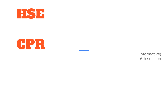



(Informative) 6th session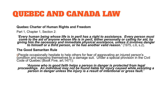### QUEBEC AND CANADA LAW

#### **Quebec Charter of Human Rights and Freedom**

Part 1, Chapter 1, Section 2:

*'Every human being whose life is in peril has a right to assistance. Every person must come to the aid of anyone whose life is in peril, either personally or calling for aid, by giving him the necessary and immediate physical assistance, unless it involves danger to himself or a third person, or he has another valid reason.'* (1975, c.6, s.2).

#### **The Good Samaritan Rule**

§People occasionally hesitate to help others for fear of aggravating an injured person's condition and exposing <u>th</u>emselves to a damage suit. Under a special provision in the Civil Code of Quebec (Book Five, art.1471):

*'Anyone who in good faith helps a person in danger is protected from legal proceedings. An individual may not be found liable for injury caused while assisting a person in danger unless the injury is a result of intentional or gross fault.'*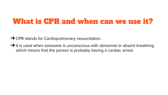# What is CPR and when can we use it?

**→ CPR stands for Cardiopulmonary resuscitation.** 

 $\rightarrow$  It is used when someone is unconscious with abnormal or absent breathing which means that the person is probably having a cardiac arrest.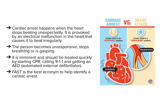- $\rightarrow$  Cardiac arrest happens when the heart stops beating unexpectedly. It is provoked by an electrical malfunction in the heart that causes it to beat irregularly.
- $\rightarrow$  The person becomes unresponsive, stops breathing or is gasping.
- **→ It is imminent and should be treated quickly** by starting CPR, calling 9-1-1 and getting an AED (automated external defibrillator).
- **→ FAST** is the best acronym to help identify a cardiac arrest.

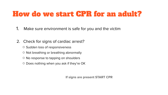# How do we start CPR for an adult?

- 1. Make sure environment is safe for you and the victim
- 2. Check for signs of cardiac arrest?
	- Sudden loss of responsiveness
	- Not breathing or breathing abnormally
	- No response to tapping on shoulders
	- Does nothing when you ask if they're OK

**If signs are present START CPR**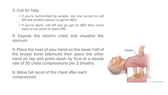- 3. Call for help
	- If you're surrounded by people, ask one person to call 911 and another person to get an AED.
	- If you're alone, call 911 and go get an AED then come back to the victim to start CPR.
- 4. Expose the victim's chest and visualise the sternum.

5. Place the heel of your hand on the lower half of the breast bone (sternum) then place the other hand on top and press down by 5cm at a steady rate of 30 chest compressions per 2 breaths.

6. Allow full recoil of the chest after each compression.

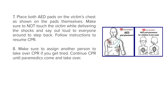7. Place both AED pads on the victim's chest as shown on the pads themselves. Make sure to NOT touch the victim while delivering the shocks and say out loud to everyone around to step back. Follow instructions to resume CPR.

8. Make sure to assign another person to take over CPR if you get tired. Continue CPR until paramedics come and take over.

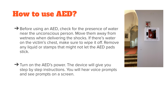### How to use AED?

- $\rightarrow$  Before using an AED, check for the presence of water near the unconscious person. Move them away from wetness when delivering the shocks. If there's water on the victim's chest, make sure to wipe it off. Remove any liquid or stamps that might not let the AED pads stick.
- **→ Turn on the AED's power. The device will give you** step by step instructions. You will hear voice prompts and see prompts on a screen.

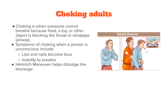# Choking adults

- Choking is when someone cannot breathe because food, a toy, or other object is blocking the throat or windpipe (airway).
- Symptoms of choking when a person is unconscious include:
	- Lips and nails become blue
	- Inability to breathe
- Heimlich Maneuver helps dislodge the blockage.

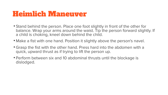### Heimlich Maneuver

- Stand behind the person. Place one foot slightly in front of the other for balance. Wrap your arms around the waist. Tip the person forward slightly. If a child is choking, kneel down behind the child.
- Make a fist with one hand. Position it slightly above the person's navel.
- Grasp the fist with the other hand. Press hard into the abdomen with a quick, upward thrust as if trying to lift the person up.
- Perform between six and 10 abdominal thrusts until the blockage is dislodged.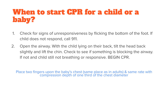# When to start CPR for a child or a baby?

- 1. Check for signs of unresponsiveness by flicking the bottom of the foot. If child does not respond, call 911.
- 2. Open the airway. With the child lying on their back, tilt the head back slightly and lift the chin. Check to see if something is blocking the airway. If not and child still not breathing or responsive. BEGIN CPR.

Place two fingers upon the baby's chest (same place as in adults) & same rate with compression depth of one third of the chest diameter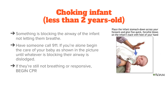# Choking infant (less than 2 years-old)

- **→ Something is blocking the airway of the infant** not letting them breathe.
- **→ Have someone call 911. If you're alone begin** the care of your baby as shown in the picture until whatever is blocking their airway is dislodged.
- $\rightarrow$  If they're still not breathing or responsive, BEGIN CPR

Place the infant stomach-down across your forearm and give five quick, forceful blows on the infant's back with heel of your hand